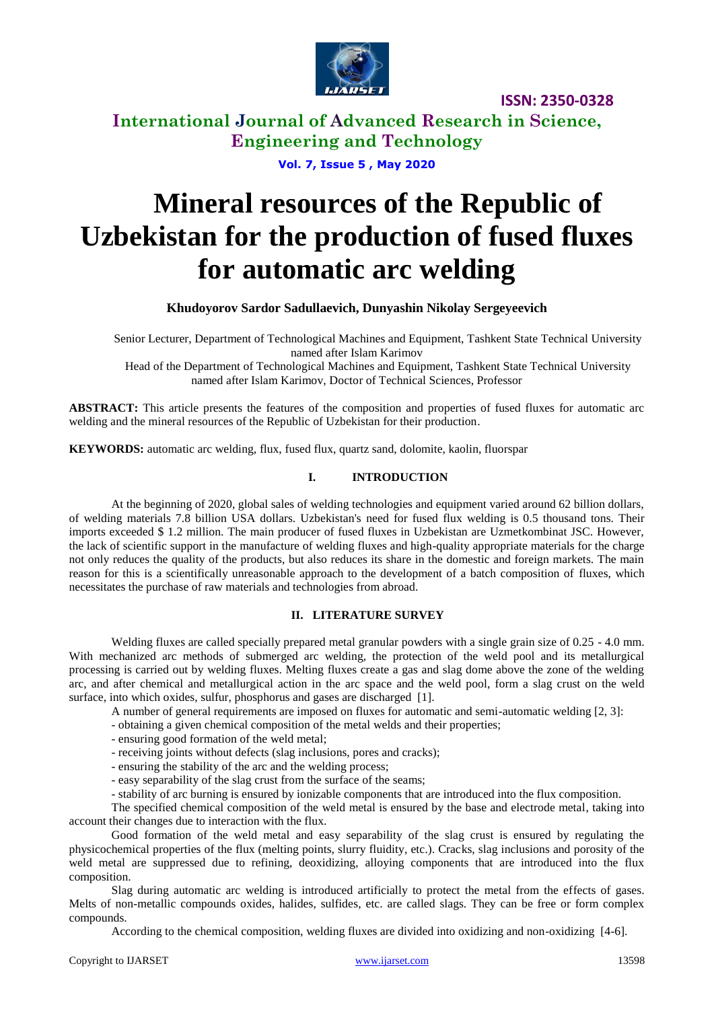

**International Journal of Advanced Research in Science, Engineering and Technology**

**Vol. 7, Issue 5 , May 2020**

# **Mineral resources of the Republic of Uzbekistan for the production of fused fluxes for automatic arc welding**

**Khudoyorov Sardor Sadullaevich, Dunyashin Nikolay Sergeyeevich**

Senior Lecturer, Department of Technological Machines and Equipment, Tashkent State Technical University named after Islam Karimov

Head of the Department of Technological Machines and Equipment, Tashkent State Technical University named after Islam Karimov, Doctor of Technical Sciences, Professor

**ABSTRACT:** This article presents the features of the composition and properties of fused fluxes for automatic arc welding and the mineral resources of the Republic of Uzbekistan for their production.

**KEYWORDS:** automatic arc welding, flux, fused flux, quartz sand, dolomite, kaolin, fluorspar

## **I. INTRODUCTION**

At the beginning of 2020, global sales of welding technologies and equipment varied around 62 billion dollars, of welding materials 7.8 billion USA dollars. Uzbekistan's need for fused flux welding is 0.5 thousand tons. Their imports exceeded \$ 1.2 million. The main producer of fused fluxes in Uzbekistan are Uzmetkombinat JSC. However, the lack of scientific support in the manufacture of welding fluxes and high-quality appropriate materials for the charge not only reduces the quality of the products, but also reduces its share in the domestic and foreign markets. The main reason for this is a scientifically unreasonable approach to the development of a batch composition of fluxes, which necessitates the purchase of raw materials and technologies from abroad.

### **II. LITERATURE SURVEY**

Welding fluxes are called specially prepared metal granular powders with a single grain size of 0.25 - 4.0 mm. With mechanized arc methods of submerged arc welding, the protection of the weld pool and its metallurgical processing is carried out by welding fluxes. Melting fluxes create a gas and slag dome above the zone of the welding arc, and after chemical and metallurgical action in the arc space and the weld pool, form a slag crust on the weld surface, into which oxides, sulfur, phosphorus and gases are discharged [1].

A number of general requirements are imposed on fluxes for automatic and semi-automatic welding [2, 3]:

- obtaining a given chemical composition of the metal welds and their properties;

- ensuring good formation of the weld metal;

- receiving joints without defects (slag inclusions, pores and cracks);

- ensuring the stability of the arc and the welding process;

- easy separability of the slag crust from the surface of the seams;

- stability of arc burning is ensured by ionizable components that are introduced into the flux composition.

The specified chemical composition of the weld metal is ensured by the base and electrode metal, taking into account their changes due to interaction with the flux.

Good formation of the weld metal and easy separability of the slag crust is ensured by regulating the physicochemical properties of the flux (melting points, slurry fluidity, etc.). Cracks, slag inclusions and porosity of the weld metal are suppressed due to refining, deoxidizing, alloying components that are introduced into the flux composition.

Slag during automatic arc welding is introduced artificially to protect the metal from the effects of gases. Melts of non-metallic compounds oxides, halides, sulfides, etc. are called slags. They can be free or form complex compounds.

According to the chemical composition, welding fluxes are divided into oxidizing and non-oxidizing [4-6].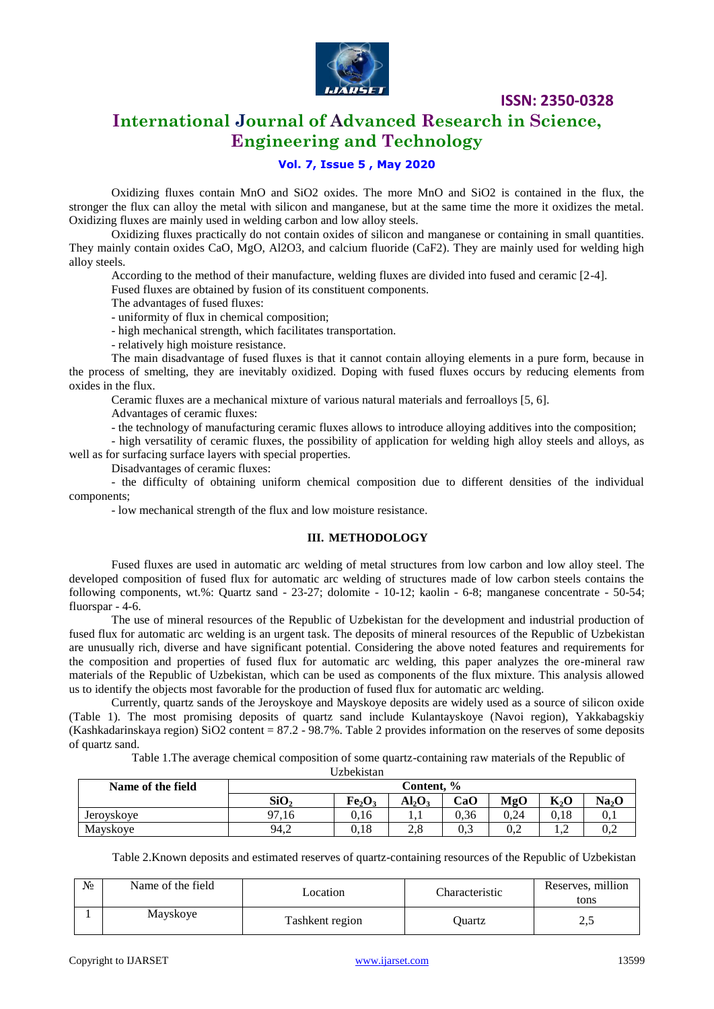

# **International Journal of Advanced Research in Science, Engineering and Technology**

## **Vol. 7, Issue 5 , May 2020**

Oxidizing fluxes contain MnO and SiO2 oxides. The more MnO and SiO2 is contained in the flux, the stronger the flux can alloy the metal with silicon and manganese, but at the same time the more it oxidizes the metal. Oxidizing fluxes are mainly used in welding carbon and low alloy steels.

Oxidizing fluxes practically do not contain oxides of silicon and manganese or containing in small quantities. They mainly contain oxides CaO, MgO, Al2O3, and calcium fluoride (CaF2). They are mainly used for welding high alloy steels.

According to the method of their manufacture, welding fluxes are divided into fused and ceramic [2-4].

Fused fluxes are obtained by fusion of its constituent components.

The advantages of fused fluxes:

- uniformity of flux in chemical composition;

- high mechanical strength, which facilitates transportation.

- relatively high moisture resistance.

The main disadvantage of fused fluxes is that it cannot contain alloying elements in a pure form, because in the process of smelting, they are inevitably oxidized. Doping with fused fluxes occurs by reducing elements from oxides in the flux.

Ceramic fluxes are a mechanical mixture of various natural materials and ferroalloys [5, 6].

Advantages of ceramic fluxes:

- the technology of manufacturing ceramic fluxes allows to introduce alloying additives into the composition;

- high versatility of ceramic fluxes, the possibility of application for welding high alloy steels and alloys, as well as for surfacing surface layers with special properties.

Disadvantages of ceramic fluxes:

- the difficulty of obtaining uniform chemical composition due to different densities of the individual components;

- low mechanical strength of the flux and low moisture resistance.

#### **III. METHODOLOGY**

Fused fluxes are used in automatic arc welding of metal structures from low carbon and low alloy steel. The developed composition of fused flux for automatic arc welding of structures made of low carbon steels contains the following components, wt.%: Quartz sand - 23-27; dolomite - 10-12; kaolin - 6-8; manganese concentrate - 50-54; fluorspar - 4-6.

The use of mineral resources of the Republic of Uzbekistan for the development and industrial production of fused flux for automatic arc welding is an urgent task. The deposits of mineral resources of the Republic of Uzbekistan are unusually rich, diverse and have significant potential. Considering the above noted features and requirements for the composition and properties of fused flux for automatic arc welding, this paper analyzes the ore-mineral raw materials of the Republic of Uzbekistan, which can be used as components of the flux mixture. This analysis allowed us to identify the objects most favorable for the production of fused flux for automatic arc welding.

Currently, quartz sands of the Jeroyskoye and Mayskoye deposits are widely used as a source of silicon oxide (Table 1). The most promising deposits of quartz sand include Kulantayskoye (Navoi region), Yakkabagskiy (Kashkadarinskaya region) SiO2 content = 87.2 - 98.7%. Table 2 provides information on the reserves of some deposits of quartz sand.

Table 1.The average chemical composition of some quartz-containing raw materials of the Republic of

Uzbekistan

| Name of the field | Content. %                                                                                                                 |      |  |      |      |      |     |  |  |
|-------------------|----------------------------------------------------------------------------------------------------------------------------|------|--|------|------|------|-----|--|--|
|                   | SiO <sub>2</sub><br>CaO<br>Fe <sub>2</sub> O <sub>3</sub><br>Na <sub>2</sub> O<br>$_{\rm{MgO}}$<br>TZ.<br>$Al_2O_3$<br>n,v |      |  |      |      |      |     |  |  |
| Jerovskove        | 97,16                                                                                                                      | 0.16 |  | 0.36 | 0.24 | 0.18 | v.i |  |  |
| Mayskoye          | $_{0,3}$<br>94,2<br>0,18<br>n o<br>0,2<br>$\angle$ .0<br>∪.∠<br><b>1.</b>                                                  |      |  |      |      |      |     |  |  |

Table 2.Known deposits and estimated reserves of quartz-containing resources of the Republic of Uzbekistan

| $N_2$ | Name of the field | Location        | Characteristic | Reserves, million<br>tons |  |
|-------|-------------------|-----------------|----------------|---------------------------|--|
|       | Mayskoye          | Tashkent region | Juartz         | ے وک                      |  |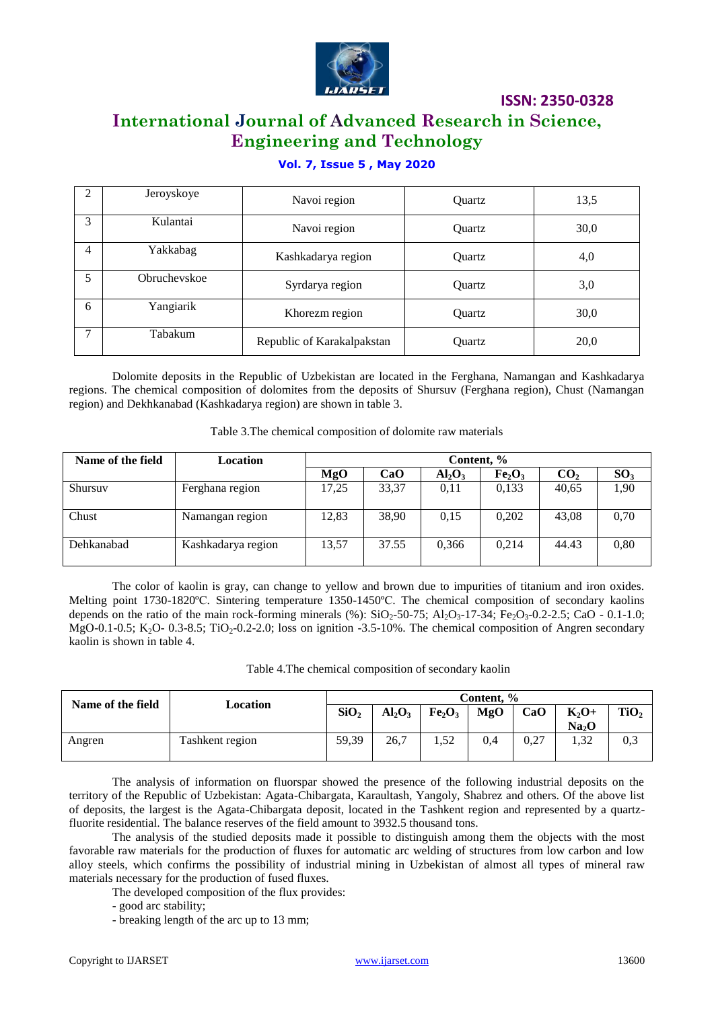

# **International Journal of Advanced Research in Science, Engineering and Technology**

## **Vol. 7, Issue 5 , May 2020**

| $\mathfrak{D}$ | Jeroyskoye   | Navoi region               | <b>Ouartz</b> | 13,5 |
|----------------|--------------|----------------------------|---------------|------|
| 3              | Kulantai     | Navoi region               | Ouartz        | 30,0 |
| 4              | Yakkabag     | Kashkadarya region         | Ouartz        | 4,0  |
| 5.             | Obruchevskoe | Syrdarya region            | Ouartz        | 3,0  |
| 6              | Yangiarik    | Khorezm region             | Ouartz        | 30,0 |
| ⇁              | Tabakum      | Republic of Karakalpakstan | Quartz        | 20,0 |

Dolomite deposits in the Republic of Uzbekistan are located in the Ferghana, Namangan and Kashkadarya regions. The chemical composition of dolomites from the deposits of Shursuv (Ferghana region), Chust (Namangan region) and Dekhkanabad (Kashkadarya region) are shown in table 3.

| Table 3. The chemical composition of dolomite raw materials |  |  |  |
|-------------------------------------------------------------|--|--|--|
|-------------------------------------------------------------|--|--|--|

| Name of the field | Location           | Content, % |       |           |                                |                 |                 |
|-------------------|--------------------|------------|-------|-----------|--------------------------------|-----------------|-----------------|
|                   |                    | MgO        | CaO   | $Al_2O_3$ | Fe <sub>2</sub> O <sub>3</sub> | CO <sub>2</sub> | SO <sub>3</sub> |
| Shursuv           | Ferghana region    | 17,25      | 33,37 | 0,11      | 0,133                          | 40,65           | 1,90            |
| Chust             | Namangan region    | 12.83      | 38.90 | 0.15      | 0,202                          | 43,08           | 0,70            |
| Dehkanabad        | Kashkadarya region | 13,57      | 37.55 | 0.366     | 0.214                          | 44.43           | 0,80            |

The color of kaolin is gray, can change to yellow and brown due to impurities of titanium and iron oxides. Melting point 1730-1820°C. Sintering temperature 1350-1450°C. The chemical composition of secondary kaolins depends on the ratio of the main rock-forming minerals (%):  $SiO_2$ -50-75; Al<sub>2</sub>O<sub>3</sub>-17-34; Fe<sub>2</sub>O<sub>3</sub>-0.2-2.5; CaO - 0.1-1.0; MgO-0.1-0.5; K<sub>2</sub>O- 0.3-8.5; TiO<sub>2</sub>-0.2-2.0; loss on ignition -3.5-10%. The chemical composition of Angren secondary kaolin is shown in table 4.

|  | Table 4. The chemical composition of secondary kaolin |  |
|--|-------------------------------------------------------|--|
|  |                                                       |  |

| Name of the field | Location        | Content, %       |           |                                |     |      |                              |                  |
|-------------------|-----------------|------------------|-----------|--------------------------------|-----|------|------------------------------|------------------|
|                   |                 | SiO <sub>2</sub> | $Al_2O_3$ | Fe <sub>2</sub> O <sub>3</sub> | MgO | CaO  | $K_2O+$<br>Na <sub>2</sub> O | TiO <sub>2</sub> |
| Angren            | Tashkent region | 59,39            | 26,7      | 1,52                           | 0.4 | 0,27 | 1,32                         | 0,3              |

The analysis of information on fluorspar showed the presence of the following industrial deposits on the territory of the Republic of Uzbekistan: Agata-Chibargata, Karaultash, Yangoly, Shabrez and others. Of the above list of deposits, the largest is the Agata-Chibargata deposit, located in the Tashkent region and represented by a quartzfluorite residential. The balance reserves of the field amount to 3932.5 thousand tons.

The analysis of the studied deposits made it possible to distinguish among them the objects with the most favorable raw materials for the production of fluxes for automatic arc welding of structures from low carbon and low alloy steels, which confirms the possibility of industrial mining in Uzbekistan of almost all types of mineral raw materials necessary for the production of fused fluxes.

The developed composition of the flux provides:

- good arc stability;

- breaking length of the arc up to 13 mm;